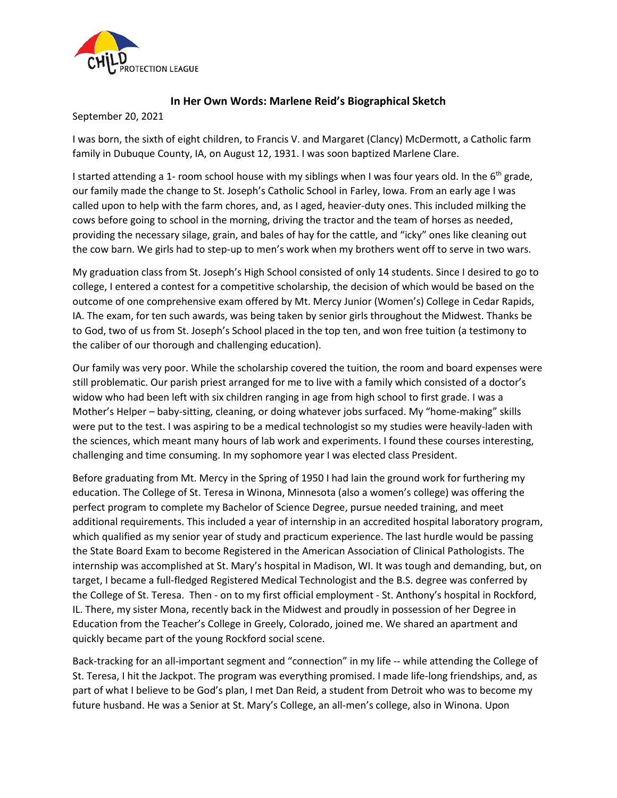

## **In Her Own Words: Marlene Reid's Biographical Sketch**

September 20, 2021

I was born, the sixth of eight children, to Francis V. and Margaret (Clancy) McDermott, a Catholic farm family in Dubuque County, IA, on August 12, 1931. I was soon baptized Marlene Clare.

I started attending a 1- room school house with my siblings when I was four years old. In the 6<sup>th</sup> grade, our family made the change to St. Joseph's Catholic School in Farley, Iowa. From an early age I was called upon to help with the farm chores, and, as I aged, heavier-duty ones. This included milking the cows before going to school in the morning, driving the tractor and the team of horses as needed, providing the necessary silage, grain, and bales of hay for the cattle, and "icky" ones like cleaning out the cow barn. We girls had to step-up to men's work when my brothers went off to serve in two wars.

My graduation class from St. Joseph's High School consisted of only 14 students. Since I desired to go to college, I entered a contest for a competitive scholarship, the decision of which would be based on the outcome of one comprehensive exam offered by Mt. Mercy Junior (Women's) College in Cedar Rapids, IA. The exam, for ten such awards, was being taken by senior girls throughout the Midwest. Thanks be to God, two of us from St. Joseph's School placed in the top ten, and won free tuition (a testimony to the caliber of our thorough and challenging education).

Our family was very poor. While the scholarship covered the tuition, the room and board expenses were still problematic. Our parish priest arranged for me to live with a family which consisted of a doctor's widow who had been left with six children ranging in age from high school to first grade. I was a Mother's Helper – baby-sitting, cleaning, or doing whatever jobs surfaced. My "home-making" skills were put to the test. I was aspiring to be a medical technologist so my studies were heavily-laden with the sciences, which meant many hours of lab work and experiments. I found these courses interesting, challenging and time consuming. In my sophomore year I was elected class President.

Before graduating from Mt. Mercy in the Spring of 1950 I had lain the ground work for furthering my education. The College of St. Teresa in Winona, Minnesota (also a women's college) was offering the perfect program to complete my Bachelor of Science Degree, pursue needed training, and meet additional requirements. This included a year of internship in an accredited hospital laboratory program, which qualified as my senior year of study and practicum experience. The last hurdle would be passing the State Board Exam to become Registered in the American Association of Clinical Pathologists. The internship was accomplished at St. Mary's hospital in Madison, WI. It was tough and demanding, but, on target, I became a full-fledged Registered Medical Technologist and the B.S. degree was conferred by the College of St. Teresa. Then - on to my first official employment - St. Anthony's hospital in Rockford, IL. There, my sister Mona, recently back in the Midwest and proudly in possession of her Degree in Education from the Teacher's College in Greely, Colorado, joined me. We shared an apartment and quickly became part of the young Rockford social scene.

Back-tracking for an all-important segment and "connection" in my life -- while attending the College of St. Teresa, I hit the Jackpot. The program was everything promised. I made life-long friendships, and, as part of what I believe to be God's plan, I met Dan Reid, a student from Detroit who was to become my future husband. He was a Senior at St. Mary's College, an all-men's college, also in Winona. Upon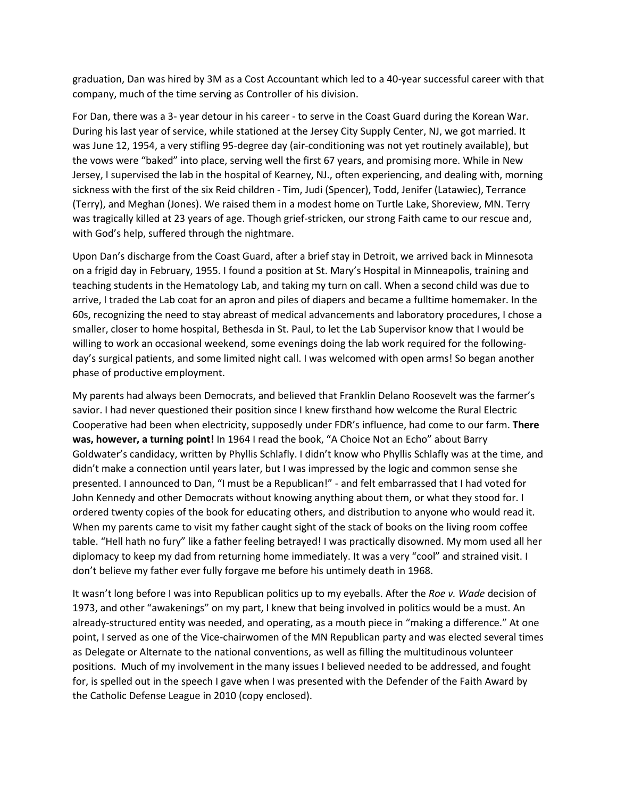graduation, Dan was hired by 3M as a Cost Accountant which led to a 40-year successful career with that company, much of the time serving as Controller of his division.

For Dan, there was a 3- year detour in his career - to serve in the Coast Guard during the Korean War. During his last year of service, while stationed at the Jersey City Supply Center, NJ, we got married. It was June 12, 1954, a very stifling 95-degree day (air-conditioning was not yet routinely available), but the vows were "baked" into place, serving well the first 67 years, and promising more. While in New Jersey, I supervised the lab in the hospital of Kearney, NJ., often experiencing, and dealing with, morning sickness with the first of the six Reid children - Tim, Judi (Spencer), Todd, Jenifer (Latawiec), Terrance (Terry), and Meghan (Jones). We raised them in a modest home on Turtle Lake, Shoreview, MN. Terry was tragically killed at 23 years of age. Though grief-stricken, our strong Faith came to our rescue and, with God's help, suffered through the nightmare.

Upon Dan's discharge from the Coast Guard, after a brief stay in Detroit, we arrived back in Minnesota on a frigid day in February, 1955. I found a position at St. Mary's Hospital in Minneapolis, training and teaching students in the Hematology Lab, and taking my turn on call. When a second child was due to arrive, I traded the Lab coat for an apron and piles of diapers and became a fulltime homemaker. In the 60s, recognizing the need to stay abreast of medical advancements and laboratory procedures, I chose a smaller, closer to home hospital, Bethesda in St. Paul, to let the Lab Supervisor know that I would be willing to work an occasional weekend, some evenings doing the lab work required for the followingday's surgical patients, and some limited night call. I was welcomed with open arms! So began another phase of productive employment.

My parents had always been Democrats, and believed that Franklin Delano Roosevelt was the farmer's savior. I had never questioned their position since I knew firsthand how welcome the Rural Electric Cooperative had been when electricity, supposedly under FDR's influence, had come to our farm. **There was, however, a turning point!** In 1964 I read the book, "A Choice Not an Echo" about Barry Goldwater's candidacy, written by Phyllis Schlafly. I didn't know who Phyllis Schlafly was at the time, and didn't make a connection until years later, but I was impressed by the logic and common sense she presented. I announced to Dan, "I must be a Republican!" - and felt embarrassed that I had voted for John Kennedy and other Democrats without knowing anything about them, or what they stood for. I ordered twenty copies of the book for educating others, and distribution to anyone who would read it. When my parents came to visit my father caught sight of the stack of books on the living room coffee table. "Hell hath no fury" like a father feeling betrayed! I was practically disowned. My mom used all her diplomacy to keep my dad from returning home immediately. It was a very "cool" and strained visit. I don't believe my father ever fully forgave me before his untimely death in 1968.

It wasn't long before I was into Republican politics up to my eyeballs. After the *Roe v. Wade* decision of 1973, and other "awakenings" on my part, I knew that being involved in politics would be a must. An already-structured entity was needed, and operating, as a mouth piece in "making a difference." At one point, I served as one of the Vice-chairwomen of the MN Republican party and was elected several times as Delegate or Alternate to the national conventions, as well as filling the multitudinous volunteer positions. Much of my involvement in the many issues I believed needed to be addressed, and fought for, is spelled out in the speech I gave when I was presented with the Defender of the Faith Award by the Catholic Defense League in 2010 (copy enclosed).